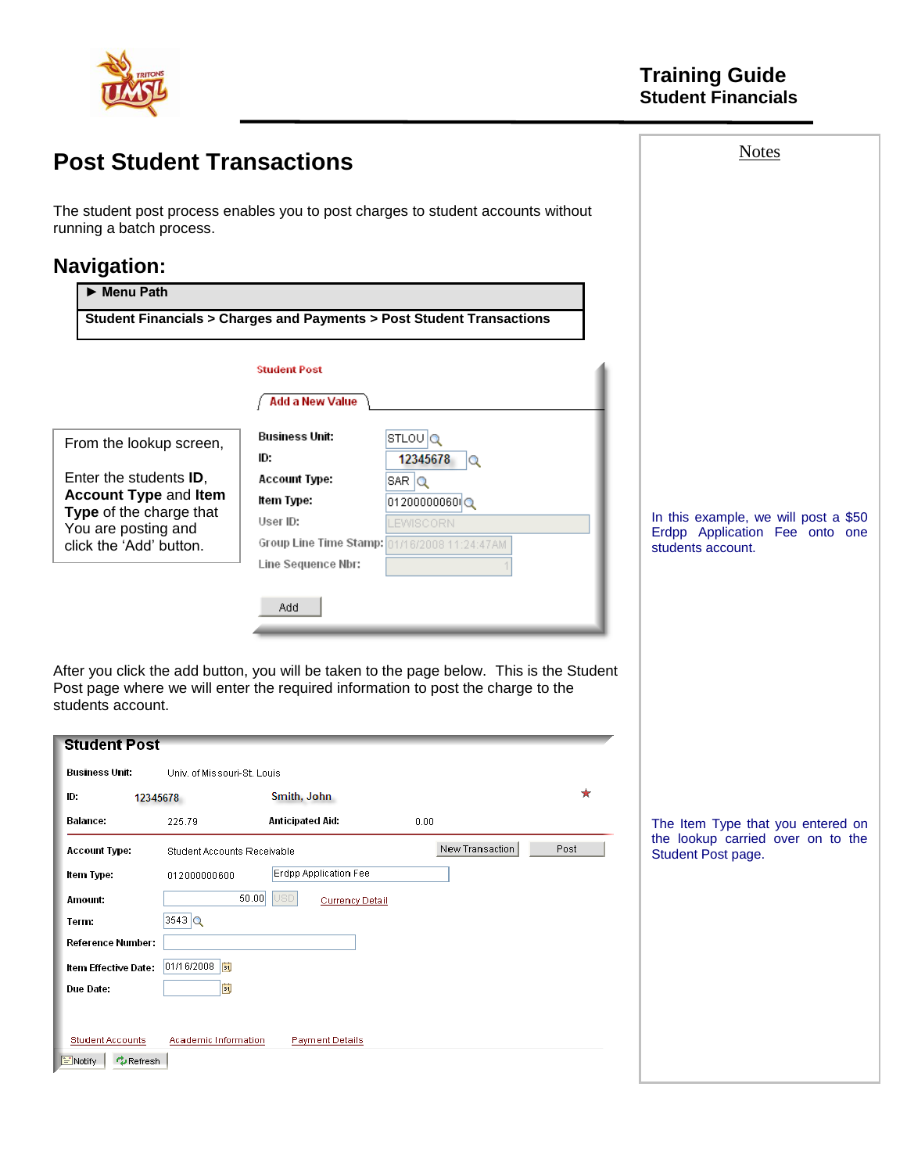

| <b>Post Student Transactions</b>                                            |                                                                                                                                                                              | <b>Notes</b>                                            |
|-----------------------------------------------------------------------------|------------------------------------------------------------------------------------------------------------------------------------------------------------------------------|---------------------------------------------------------|
| running a batch process.                                                    | The student post process enables you to post charges to student accounts without                                                                                             |                                                         |
| <b>Navigation:</b>                                                          |                                                                                                                                                                              |                                                         |
| Menu Path                                                                   |                                                                                                                                                                              |                                                         |
|                                                                             | Student Financials > Charges and Payments > Post Student Transactions                                                                                                        |                                                         |
|                                                                             |                                                                                                                                                                              |                                                         |
|                                                                             | <b>Student Post</b>                                                                                                                                                          |                                                         |
|                                                                             | Add a New Value                                                                                                                                                              |                                                         |
| From the lookup screen,                                                     | <b>Business Unit:</b><br>$STLOU$ Q                                                                                                                                           |                                                         |
|                                                                             | ID.<br>12345678<br>ΙQ                                                                                                                                                        |                                                         |
| Enter the students ID,<br><b>Account Type and Item</b>                      | <b>Account Type:</b><br>$SAR$ $Q$                                                                                                                                            |                                                         |
| Type of the charge that                                                     | Item Type:<br>012000000600                                                                                                                                                   | In this example, we will post a \$50                    |
| You are posting and                                                         | User ID:<br>LEWISCORN<br>Group Line Time Stamp: 01/16/2008 11:24:47AM                                                                                                        | Erdpp Application Fee onto one                          |
| click the 'Add' button.                                                     | Line Sequence Nbr:                                                                                                                                                           | students account.                                       |
|                                                                             |                                                                                                                                                                              |                                                         |
|                                                                             | Add.                                                                                                                                                                         |                                                         |
|                                                                             |                                                                                                                                                                              |                                                         |
|                                                                             |                                                                                                                                                                              |                                                         |
|                                                                             | After you click the add button, you will be taken to the page below. This is the Student<br>Post page where we will enter the required information to post the charge to the |                                                         |
| students account.                                                           |                                                                                                                                                                              |                                                         |
| <b>Student Post</b>                                                         |                                                                                                                                                                              |                                                         |
| Business Unit:<br>Univ. of Missouri-St. Louis                               |                                                                                                                                                                              |                                                         |
| ID.<br>12345678                                                             | Smith, John                                                                                                                                                                  |                                                         |
| Balance:<br>225.79                                                          | Anticipated Aid:<br>0.00                                                                                                                                                     | The Item Type that you entered on                       |
| Account Type:<br>Student Accounts Receivable                                | New Transaction<br>Post                                                                                                                                                      | the lookup carried over on to the<br>Student Post page. |
| Item Type:<br>012000000600                                                  | Erdpp Application Fee                                                                                                                                                        |                                                         |
| Amount:                                                                     | 50.00<br><b>JSD</b><br><b>Currency Detail</b>                                                                                                                                |                                                         |
| $3543$ $\alpha$<br>Term:                                                    |                                                                                                                                                                              |                                                         |
| Reference Number:                                                           |                                                                                                                                                                              |                                                         |
| 01/16/2008<br>Item Effective Date:                                          |                                                                                                                                                                              |                                                         |
| E<br>Due Date:                                                              |                                                                                                                                                                              |                                                         |
|                                                                             |                                                                                                                                                                              |                                                         |
| <b>Student Accounts</b><br>Academic Information<br>$\phi$ Refresh<br>Notify | <b>Payment Details</b>                                                                                                                                                       |                                                         |
|                                                                             |                                                                                                                                                                              |                                                         |

L